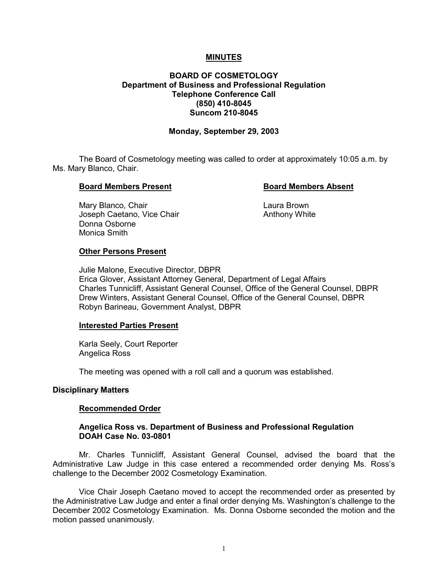## **MINUTES**

# **BOARD OF COSMETOLOGY Department of Business and Professional Regulation Telephone Conference Call (850) 410-8045 Suncom 210-8045**

### **Monday, September 29, 2003**

The Board of Cosmetology meeting was called to order at approximately 10:05 a.m. by Ms. Mary Blanco, Chair.

#### **Board Members Present Communist Board Members Absent**

Mary Blanco, Chair **Laura Brown** Joseph Caetano, Vice Chair Anthony White Donna Osborne Monica Smith

#### **Other Persons Present**

Julie Malone, Executive Director, DBPR Erica Glover, Assistant Attorney General, Department of Legal Affairs Charles Tunnicliff, Assistant General Counsel, Office of the General Counsel, DBPR Drew Winters, Assistant General Counsel, Office of the General Counsel, DBPR Robyn Barineau, Government Analyst, DBPR

#### **Interested Parties Present**

Karla Seely, Court Reporter Angelica Ross

The meeting was opened with a roll call and a quorum was established.

#### **Disciplinary Matters**

#### **Recommended Order**

### **Angelica Ross vs. Department of Business and Professional Regulation DOAH Case No. 03-0801**

Mr. Charles Tunnicliff, Assistant General Counsel, advised the board that the Administrative Law Judge in this case entered a recommended order denying Ms. Ross's challenge to the December 2002 Cosmetology Examination.

Vice Chair Joseph Caetano moved to accept the recommended order as presented by the Administrative Law Judge and enter a final order denying Ms. Washington's challenge to the December 2002 Cosmetology Examination. Ms. Donna Osborne seconded the motion and the motion passed unanimously.